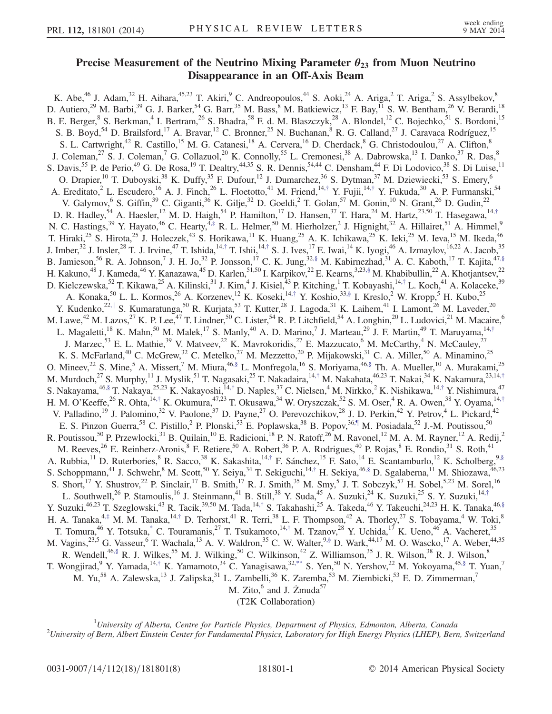## Precise Measurement of the Neutrino Mixing Parameter  $\theta_{23}$  from Muon Neutrino<br>Disappearance in an Off-Axis Beam  $D = \frac{1}{2}$

<span id="page-0-3"></span>K. Abe,<sup>46</sup> J. Adam,<sup>32</sup> H. Aihara,<sup>45,23</sup> T. Akiri,<sup>9</sup> C. Andreopoulos,<sup>44</sup> S. Aoki,<sup>24</sup> A. Ariga,<sup>2</sup> T. Ariga,<sup>2</sup> S. Assylbekov,<sup>8</sup> D. Autiero,<sup>29</sup> M. Barbi,<sup>39</sup> G. J. Barker,<sup>54</sup> G. Barr,<sup>35</sup> M. Bass,<sup>8</sup> M. Batkiewicz,<sup>13</sup> F. Bay,<sup>11</sup> S. W. Bentham,<sup>26</sup> V. Berardi,<sup>18</sup> B. E. Berger,<sup>8</sup> S. Berkman,<sup>4</sup> I. Bertram,<sup>26</sup> S. Bhadra,<sup>58</sup> F. d. M. Blaszczyk,<sup>28</sup> A. Blondel,<sup>12</sup> C. Bojechko,<sup>51</sup> S. Bordoni,<sup>15</sup> S. B. Boyd,<sup>54</sup> D. Brailsford,<sup>17</sup> A. Bravar,<sup>12</sup> C. Bronner,<sup>25</sup> N. Buchanan,<sup>8</sup> R. G. Calland,<sup>27</sup> J. Caravaca Rodríguez,<sup>15</sup> S. L. Cartwright,<sup>42</sup> R. Castillo,<sup>15</sup> M. G. Catanesi,<sup>18</sup> A. Cervera,<sup>16</sup> D. Cherdack,<sup>8</sup> G. Christodoulou,<sup>27</sup> A. Clifton,<sup>8</sup> J. Coleman,<sup>27</sup> S. J. Coleman,<sup>7</sup> G. Collazuol,<sup>20</sup> K. Connolly,<sup>55</sup> L. Cremonesi,<sup>38</sup> A. Dabrowska,<sup>13</sup> I. Danko,<sup>37</sup> R. Das,<sup>8</sup> S. Davis, <sup>55</sup> P. de Perio, <sup>49</sup> G. De Rosa, <sup>19</sup> T. Dealtry, <sup>44,35</sup> S. R. Dennis, <sup>54,44</sup> C. Densham, <sup>44</sup> F. Di Lodovico, <sup>38</sup> S. Di Luise, <sup>11</sup> O. Drapier,<sup>10</sup> T. Duboyski,<sup>38</sup> K. Duffy,<sup>35</sup> F. Dufour,<sup>12</sup> J. Dumarchez,<sup>36</sup> S. Dytman,<sup>37</sup> M. Dziewiecki,<sup>53</sup> S. Emery,<sup>6</sup> A. Ereditato,<sup>2</sup> L. Escudero,<sup>16</sup> A. J. Finch,<sup>26</sup> L. Floetotto,<sup>41</sup> M. Friend,<sup>14,[†](#page-6-0)</sup> Y. Fujii,<sup>14,†</sup> Y. Fukuda,<sup>30</sup> A. P. Furmanski,<sup>54</sup> V. Galymov,  $6$  S. Giffin,  $39$  C. Giganti,  $36$  K. Gilje,  $32$  D. Goeldi,  $2$  T. Golan,  $57$  M. Gonin,  $10$  N. Grant,  $26$  D. Gudin,  $22$ D. R. Hadley,<sup>54</sup> A. Haesler,<sup>12</sup> M. D. Haigh,<sup>54</sup> P. Hamilton,<sup>17</sup> D. Hansen,<sup>37</sup> T. Hara,<sup>24</sup> M. Hartz,<sup>23,50</sup> T. Hasegawa,<sup>14,[†](#page-6-0)</sup> N. C. Hastings,<sup>39</sup> Y. Hayato,<sup>46</sup> C. Hearty,<sup>4,[‡](#page-6-1)</sup> R. L. Helmer,<sup>50</sup> M. Hierholzer,<sup>2</sup> J. Hignight,<sup>32</sup> A. Hillairet,<sup>51</sup> A. Himmel,<sup>9</sup> T. Hiraki,<sup>25</sup> S. Hirota,<sup>25</sup> J. Holeczek,<sup>43</sup> S. Horikawa,<sup>11</sup> K. Huang,<sup>25</sup> A. K. Ichikawa,<sup>25</sup> K. Ieki,<sup>25</sup> M. Ieva,<sup>15</sup> M. Ikeda,<sup>46</sup> J. Imber,<sup>32</sup> J. Insler,<sup>28</sup> T. J. Irvine,<sup>47</sup> T. Ishida,<sup>14,[†](#page-6-0)</sup> T. Ishii,<sup>14,†</sup> S. J. Ives,<sup>17</sup> E. Iwai,<sup>14</sup> K. Iyogi,<sup>46</sup> A. Izmaylov,<sup>16,22</sup> A. Jacob,<sup>35</sup> B. Jamieson,<sup>56</sup> R. A. Johnson,<sup>7</sup> J. H. Jo,<sup>32</sup> P. Jonsson,<sup>17</sup> C. K. Jung,<sup>3[2,§](#page-6-2)</sup> M. Kabirnezhad,<sup>31</sup> A. C. Kaboth,<sup>17</sup> T. Kajita,<sup>47[,§](#page-6-2)</sup> H. Kakuno,<sup>48</sup> J. Kameda,<sup>46</sup> Y. Kanazawa,<sup>45</sup> D. Karlen,<sup>51,50</sup> I. Karpikov,<sup>22</sup> E. Kearns,<sup>3,23[,§](#page-6-2)</sup> M. Khabibullin,<sup>22</sup> A. Khotjantsev,<sup>22</sup> D. Kielczewska,<sup>52</sup> T. Kikawa,<sup>25</sup> A. Kilinski,<sup>31</sup> J. Kim,<sup>4</sup> J. Kisiel,<sup>43</sup> P. Kitching,<sup>1</sup> T. Kobayashi,<sup>14,[†](#page-6-0)</sup> L. Koch,<sup>41</sup> A. Kolaceke,<sup>39</sup> A. Konaka,<sup>50</sup> L. L. Kormos,<sup>26</sup> A. Korzenev,<sup>12</sup> K. Koseki,<sup>14,[†](#page-6-0)</sup> Y. Koshio,<sup>3[3,§](#page-6-2)</sup> I. Kreslo,<sup>2</sup> W. Kropp,<sup>5</sup> H. Kubo,<sup>25</sup> Y. Kudenko,<sup>22,[∥](#page-6-3)</sup> S. Kumaratunga,<sup>50</sup> R. Kurjata,<sup>53</sup> T. Kutter,<sup>28</sup> J. Lagoda,<sup>31</sup> K. Laihem,<sup>41</sup> I. Lamont,<sup>26</sup> M. Laveder,<sup>20</sup> M. Lawe,<sup>42</sup> M. Lazos,<sup>27</sup> K. P. Lee,<sup>47</sup> T. Lindner,<sup>50</sup> C. Lister,<sup>54</sup> R. P. Litchfield,<sup>54</sup> A. Longhin,<sup>20</sup> L. Ludovici,<sup>21</sup> M. Macaire,<sup>6</sup> L. Magaletti,<sup>18</sup> K. Mahn,<sup>50</sup> M. Malek,<sup>17</sup> S. Manly,<sup>40</sup> A. D. Marino,<sup>7</sup> J. Marteau,<sup>29</sup> J. F. Martin,<sup>49</sup> T. Maruyama,<sup>14,[†](#page-6-0)</sup> J. Marzec,<sup>53</sup> E. L. Mathie,<sup>39</sup> V. Matveev,<sup>22</sup> K. Mavrokoridis,<sup>27</sup> E. Mazzucato,<sup>6</sup> M. McCarthy,<sup>4</sup> N. McCauley,<sup>27</sup> K. S. McFarland,<sup>40</sup> C. McGrew,<sup>32</sup> C. Metelko,<sup>27</sup> M. Mezzetto,<sup>20</sup> P. Mijakowski,<sup>31</sup> C. A. Miller,<sup>50</sup> A. Minamino,<sup>25</sup> O. Mineev, $^{22}$  S. Mine,<sup>5</sup> A. Missert,<sup>7</sup> M. Miura, $^{46,\S}$  L. Monfregola,<sup>16</sup> S. Moriyama, $^{46,\S}$  Th. A. Mueller,<sup>10</sup> A. Murakami,<sup>25</sup> M. Murdoch,<sup>27</sup> S. Murphy,<sup>11</sup> J. Myslik,<sup>51</sup> T. Nagasaki,<sup>25</sup> T. Nakadaira,<sup>14,[†](#page-6-0)</sup> M. Nakahata,<sup>46,23</sup> T. Nakai,<sup>34</sup> K. Nakamura,<sup>23,14,†</sup> S. Nakayama,<sup>4[6,§](#page-6-2)</sup> T. Nakaya,<sup>25,23</sup> K. Nakayoshi,<sup>14,[†](#page-6-0)</sup> D. Naples,<sup>37</sup> C. Nielsen,<sup>4</sup> M. Nirkko,<sup>2</sup> K. Nishikawa,<sup>14,†</sup> Y. Nishimura,<sup>47</sup> H. M. O'Keeffe,<sup>26</sup> R. Ohta,<sup>14,[†](#page-6-0)</sup> K. Okumura,<sup>47,23</sup> T. Okusawa,<sup>34</sup> W. Oryszczak,<sup>52</sup> S. M. Oser,<sup>4</sup> R. A. Owen,<sup>38</sup> Y. Oyama,<sup>14,†</sup> V. Palladino,<sup>19</sup> J. Palomino,<sup>32</sup> V. Paolone,<sup>37</sup> D. Payne,<sup>27</sup> O. Perevozchikov,<sup>28</sup> J. D. Perkin,<sup>42</sup> Y. Petrov,<sup>4</sup> L. Pickard,<sup>42</sup> E. S. Pinzon Guerra,<sup>58</sup> C. Pistillo,<sup>2</sup> P. Plonski,<sup>53</sup> E. Poplawska,<sup>38</sup> B. Popov,<sup>36[,¶](#page-6-4)</sup> M. Posiadala,<sup>52</sup> J.-M. Poutissou,<sup>50</sup> R. Poutissou,<sup>50</sup> P. Przewlocki,<sup>31</sup> B. Quilain,<sup>10</sup> E. Radicioni,<sup>18</sup> P. N. Ratoff,<sup>26</sup> M. Ravonel,<sup>12</sup> M. A. M. Rayner,<sup>12</sup> A. Redij,<sup>2</sup> M. Reeves,  $^{26}$  E. Reinherz-Aronis,  $^8$  F. Retiere,  $^{50}$  A. Robert,  $^{36}$  P. A. Rodrigues,  $^{40}$  P. Rojas,  $^8$  E. Rondio,  $^{31}$  S. Roth,  $^{41}$ A. Rubbia,<sup>11</sup> D. Ruterbories, <sup>8</sup> R. Sacco, <sup>38</sup> K. Sakashita, <sup>14,[†](#page-6-0)</sup> F. Sánchez, <sup>15</sup> F. Sato, <sup>14</sup> E. Scantamburlo, <sup>12</sup> K. Scholberg, <sup>9[,§](#page-6-2)</sup> S. Schoppmann,<sup>41</sup> J. Schwehr,<sup>8</sup> M. Scott,<sup>50</sup> Y. Seiya,<sup>34</sup> T. Sekiguchi,<sup>14,[†](#page-6-0)</sup> H. Sekiya,<sup>4[6,§](#page-6-2)</sup> D. Sgalaberna,<sup>11</sup> M. Shiozawa,<sup>46,23</sup> S. Short,  $^{17}$  Y. Shustrov,  $^{22}$  P. Sinclair,  $^{17}$  B. Smith,  $^{17}$  R. J. Smith,  $^{35}$  M. Smy,  $^{5}$  J. T. Sobczyk,  $^{57}$  H. Sobel,  $^{5,23}$  M. Sorel,  $^{16}$ L. Southwell,<sup>26</sup> P. Stamoulis,<sup>16</sup> J. Steinmann,<sup>41</sup> B. Still,<sup>38</sup> Y. Suda,<sup>45</sup> A. Suzuki,<sup>24</sup> K. Suzuki,<sup>25</sup> S. Y. Suzuki,<sup>14,[†](#page-6-0)</sup> Y. Suzuki,<sup>46,23</sup> T. Szeglowski,<sup>43</sup> R. Tacik,<sup>39,50</sup> M. Tada,<sup>14,[†](#page-6-0)</sup> S. Takahashi,<sup>25</sup> A. Takeda,<sup>46</sup> Y. Takeuchi,<sup>24,23</sup> H. K. Tanaka,<sup>46[,§](#page-6-2)</sup> H. A. Tanaka, $4, \frac{4}{3}$  M. M. Tanaka, $14, \frac{1}{3}$  D. Terhorst, $4^1$  R. Terri, $3^8$  L. F. Thompson, $4^2$  A. Thorley, $2^7$  S. Tobayama, $4^4$  W. Toki, $8^4$ T. Tomura,<sup>46</sup> Y. Totsuka,<sup>\*</sup> C. Touramanis,<sup>27</sup> T. Tsukamoto,<sup>14,[†](#page-6-0)</sup> M. Tzanov,<sup>28</sup> Y. Uchida,<sup>17</sup> K. Ueno,<sup>46</sup> A. Vacheret,<sup>35</sup> M. Vagins,<sup>23,5</sup> G. Vasseur,<sup>6</sup> T. Wachala,<sup>13</sup> A. V. Waldron,<sup>35</sup> C. W. Walter,<sup>[9,§](#page-6-2)</sup> D. Wark,<sup>44,17</sup> M. O. Wascko,<sup>17</sup> A. Weber,<sup>44,35</sup> R. Wendell,<sup>4[6,§](#page-6-2)</sup> R. J. Wilkes,<sup>55</sup> M. J. Wilking,<sup>50</sup> C. Wilkinson,<sup>42</sup> Z. Williamson,<sup>35</sup> J. R. Wilson,<sup>38</sup> R. J. Wilson,<sup>8</sup> T. Wongjirad,<sup>9</sup> Y. Yamada,<sup>14,[†](#page-6-0)</sup> K. Yamamoto,<sup>34</sup> C. Yanagisawa,<sup>32[,\\*\\*](#page-6-6)</sup> S. Yen,<sup>50</sup> N. Yershov,<sup>22</sup> M. Yokoyama,<sup>45[,§](#page-6-2)</sup> T. Yuan,<sup>7</sup> M. Yu,<sup>58</sup> A. Zalewska,<sup>13</sup> J. Zalipska,<sup>31</sup> L. Zambelli,<sup>36</sup> K. Zaremba,<sup>53</sup> M. Ziembicki,<sup>53</sup> E. D. Zimmerman,<sup>7</sup> M. Zito, $^6$  and J. Żmuda<sup>57</sup>

(T2K Collaboration)

<span id="page-0-4"></span><span id="page-0-2"></span><span id="page-0-1"></span><span id="page-0-0"></span><sup>1</sup>University of Alberta, Centre for Particle Physics, Department of Physics, Edmonton, Alberta, Canada<sup>2</sup>University of Para Alberta, Canada  $^2$ University of Bern, Albert Einstein Center for Fundamental Physics, Laboratory for High Energy Physics (LHEP), Bern, Switzerland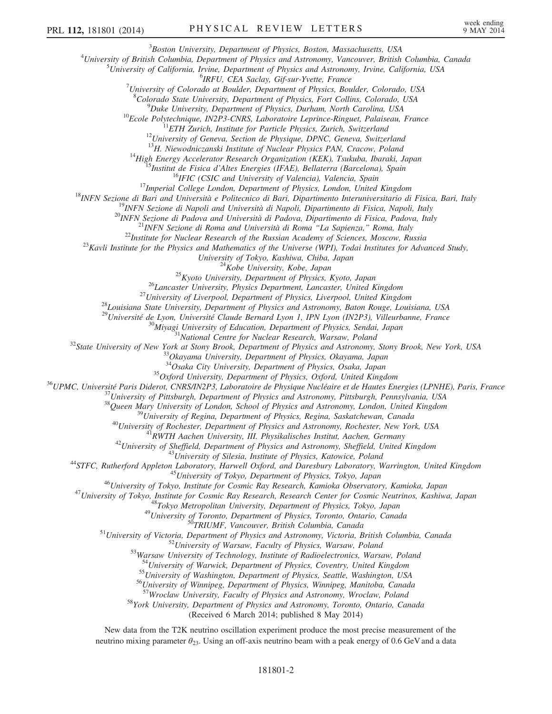<sup>3</sup>Boston University, Department of Physics, Boston, Massachusetts, USA  $B_{\text{Boston}}$  University, Department of Physics, Boston, Massachusetts, USA<br> $A_{\text{University of British Columbia}}$  Department of Physics and Astronomy Vancouver, Pritish

University of British Columbia, Department of Physics and Astronomy, Vancouver, British Columbia, Canada 5 University of California, Invine, Department of Physics and Astronomy, Imine, California, IISA

<sup>5</sup>University of California, Irvine, Department of Physics and Astronomy, Irvine, California, USA<br><sup>6</sup>IRFU, CEA Saclav, Gif-sur-Yvette, France

<sup>o</sup>IRFU, CEA Saclay, Gif-sur-Yvette, France<br><sup>7</sup>University of Colorado at Boulder, Department of Physics, Boulder, Colorado, USA

<sup>8</sup>Colorado State University, Department of Physics, Fort Collins, Colorado, USA<br><sup>9</sup> Dulta University, Department of Physics, Durham North Canolina, USA

<sup>9</sup>Duke University, Department of Physics, Durham, North Carolina, USA<br><sup>10</sup>Ecole Polytechnique, IN2P3-CNRS, Laboratoire Leprince-Ringuet, Palaiseau, France<br><sup>11</sup>ETH Zurich, Institute for Particle Physics, Zurich, Switzerla

<sup>13</sup>H. Niewodniczanski Institute of Nuclear Physics PAN, Cracow, Poland<br><sup>14</sup>High Energy Accelerator Research Organization (KEK), Tsukuba, Ibaraki, Japan<br><sup>15</sup>Institut de Fisica d'Altes Energies (IFAE), Bellaterra (Barcelon

University of Tokyo, Kashiwa, Chiba, Japan<br><sup>24</sup>Kobe University, Kobe, Japan<br><sup>25</sup>Kyoto University, Department of Physics, Kyoto, Japan<br><sup>26</sup>Lancaster University, Physics Department, Lancaster, United Kingdom<br><sup>27</sup>University o

<sup>30</sup>Miyagi University of Education, Department of Physics, Sendai, Japan<br><sup>31</sup>National Centre for Nuclear Research, Warsaw, Poland<br><sup>32</sup>State University of New York at Stony Brook, Department of Physics and Astronomy, Stony

<sup>34</sup>Osaka City University, Department of Physics, Osaka, Japan <sup>35</sup>Oxford University, Department of Physics, Oxford, United Kingdom <sup>36</sup>UPMC, Université Paris Diderot, CNRS/IN2P3, Laboratoire de Physique Nucléaire et de Hautes Energies (LPNHE), Paris, France <sup>37</sup>University of Pittsburgh, Department of Physics and Astronomy, Pittsburgh, Pennsylvania, USA <sup>38</sup>Queen Mary University of London, School of Physics and Astronomy, London, United Kingdom <sup>39</sup>University of Regina, Department of Physics, Regina, Saskatchewan, Canada <sup>40</sup>University of Rochester, Department of Physics and Astronomy, Rochester, New York, USA <sup>41</sup>RWTH Aachen University, III. Physikalisches Institut, Aachen, Germany <sup>42</sup>University of Sheffield, Department of Physics and Astronomy, Sheffield, United Kingdom <sup>43</sup>University of Silesia, Institute of Physics, Katowice, Poland <sup>44</sup>STFC, Rutherford Appleton Laboratory, Harwell Oxford, and Daresbury Laboratory, Warrington, United Kingdom <sup>45</sup>University of Tokyo, Department of Physics, Tokyo, Japan <sup>46</sup>University of Tokyo, Institute for Cosmic Ray Research, Kamioka Observatory, Kamioka, Japan <sup>47</sup>University of Tokyo, Institute for Cosmic Ray Research, Research Center for Cosmic Neutrinos, Kashiwa, Japan <sup>48</sup>Tokyo Metropolitan University, Department of Physics, Tokyo, Japan <sup>49</sup>University of Toronto, Department of Physics, Toronto, Ontario, Canada <sup>50</sup>TRIUMF, Vancouver, British Columbia, Canada <sup>51</sup>University of Victoria, Department of Physics and Astronomy, Victoria, British Columbia, Canada <sup>52</sup>University of Warsaw, Faculty of Physics, Warsaw, Poland <sup>53</sup>Warsaw University of Technology, Institute of Radioelectronics, Warsaw, Poland

<sup>55</sup>University of Washington, Department of Physics, Seattle, Washington, USA  $^{56}$ University of Winnipeg, Department of Physics, Winnipeg, Manitoba, Canada  $^{57}$ Wroclaw University, Faculty of Physics and Astronomy, Wro

58York University, Department of Physics and Astronomy, Toronto, Ontario, Canada

(Received 6 March 2014; published 8 May 2014)

New data from the T2K neutrino oscillation experiment produce the most precise measurement of the neutrino mixing parameter  $\theta_{23}$ . Using an off-axis neutrino beam with a peak energy of 0.6 GeV and a data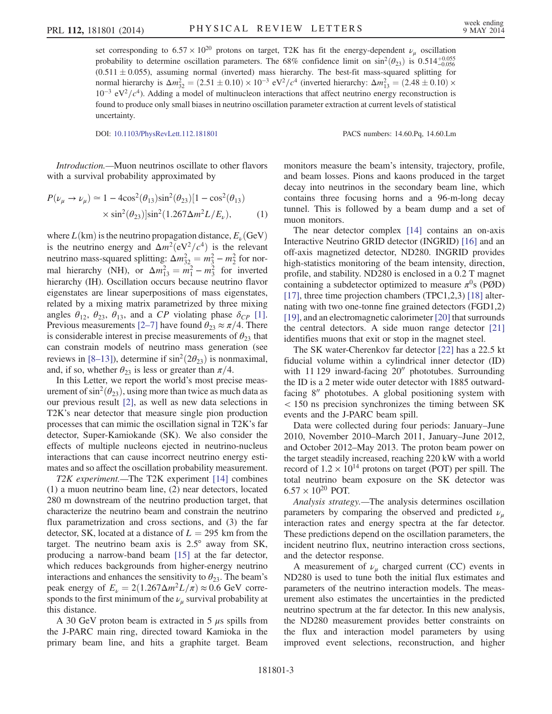set corresponding to  $6.57 \times 10^{20}$  protons on target, T2K has fit the energy-dependent  $\nu_{\mu}$  oscillation probability to determine oscillation parameters. The 68% confidence limit on  $\sin^2(\theta_{23})$  is 0.514<sup>+0.055</sup>  $(0.511 \pm 0.055)$ , assuming normal (inverted) mass hierarchy. The best-fit mass-squared splitting for normal hierarchy is  $\Delta m_{32}^2 = (2.51 \pm 0.10) \times 10^{-3} \text{ eV}^2/c^4$  (inverted hierarchy:  $\Delta m_{13}^2 = (2.48 \pm 0.10) \times 10^{-3} \text{ eV}^2/c^4$  $10^{-3}$  eV<sup>2</sup>/ $c<sup>4</sup>$ ). Adding a model of multinucleon interactions that affect neutrino energy reconstruction is found to produce only small biases in neutrino oscillation parameter extraction at current levels of statistical uncertainty.

DOI: [10.1103/PhysRevLett.112.181801](http://dx.doi.org/10.1103/PhysRevLett.112.181801) PACS numbers: 14.60.Pq, 14.60.Lm

Introduction.—Muon neutrinos oscillate to other flavors with a survival probability approximated by

$$
P(\nu_{\mu} \to \nu_{\mu}) \simeq 1 - 4\cos^{2}(\theta_{13})\sin^{2}(\theta_{23})[1 - \cos^{2}(\theta_{13})
$$

$$
\times \sin^{2}(\theta_{23})]\sin^{2}(1.267\Delta m^{2}L/E_{\nu}), \qquad (1)
$$

where  $L(km)$  is the neutrino propagation distance,  $E_{\nu}$ (GeV) is the neutrino energy and  $\Delta m^2 (eV^2/c^4)$  is the relevant neutrino mass-squared splitting:  $\Delta m_{32}^2 = m_3^2 - m_2^2$  for normal hierarchy (NH), or  $\Delta m_{13}^2 = m_1^2 - m_3^2$  for inverted hierarchy (IH). Oscillation occurs because neutrino flavor eigenstates are linear superpositions of mass eigenstates, related by a mixing matrix parametrized by three mixing angles  $\theta_{12}$ ,  $\theta_{23}$ ,  $\theta_{13}$ , and a CP violating phase  $\delta_{CP}$  [\[1\]](#page-6-7). Previous measurements [2–[7\]](#page-6-8) have found  $\theta_{23} \approx \pi/4$ . There is considerable interest in precise measurements of  $\theta_{23}$  that can constrain models of neutrino mass generation (see reviews in [8–[13\]](#page-6-9)), determine if  $\sin^2(2\theta_{23})$  is nonmaximal, and, if so, whether  $\theta_{23}$  is less or greater than  $\pi/4$ .

In this Letter, we report the world's most precise measurement of  $\sin^2(\theta_{23})$ , using more than twice as much data as our previous result [\[2\]](#page-6-8), as well as new data selections in T2K's near detector that measure single pion production processes that can mimic the oscillation signal in T2K's far detector, Super-Kamiokande (SK). We also consider the effects of multiple nucleons ejected in neutrino-nucleus interactions that can cause incorrect neutrino energy estimates and so affect the oscillation probability measurement.

T2K experiment.—The T2K experiment [\[14\]](#page-6-10) combines (1) a muon neutrino beam line, (2) near detectors, located 280 m downstream of the neutrino production target, that characterize the neutrino beam and constrain the neutrino flux parametrization and cross sections, and (3) the far detector, SK, located at a distance of  $L = 295$  km from the target. The neutrino beam axis is 2.5° away from SK, producing a narrow-band beam [\[15\]](#page-6-11) at the far detector, which reduces backgrounds from higher-energy neutrino interactions and enhances the sensitivity to  $\theta_{23}$ . The beam's peak energy of  $E_{\nu} = 2(1.267\Delta m^2L/\pi) \approx 0.6$  GeV corresponds to the first minimum of the  $\nu_u$  survival probability at this distance.

A 30 GeV proton beam is extracted in  $5 \mu s$  spills from the J-PARC main ring, directed toward Kamioka in the primary beam line, and hits a graphite target. Beam monitors measure the beam's intensity, trajectory, profile, and beam losses. Pions and kaons produced in the target decay into neutrinos in the secondary beam line, which contains three focusing horns and a 96-m-long decay tunnel. This is followed by a beam dump and a set of muon monitors.

The near detector complex [\[14\]](#page-6-10) contains an on-axis Interactive Neutrino GRID detector (INGRID) [\[16\]](#page-6-12) and an off-axis magnetized detector, ND280. INGRID provides high-statistics monitoring of the beam intensity, direction, profile, and stability. ND280 is enclosed in a 0.2 T magnet containing a subdetector optimized to measure  $\pi^0$ s (PØD) [\[17\]](#page-6-13), three time projection chambers (TPC1,2,3) [\[18\]](#page-6-14) alternating with two one-tonne fine grained detectors (FGD1,2) [\[19\]](#page-6-15), and an electromagnetic calorimeter [\[20\]](#page-6-16) that surrounds the central detectors. A side muon range detector [\[21\]](#page-6-17) identifies muons that exit or stop in the magnet steel.

The SK water-Cherenkov far detector [\[22\]](#page-6-18) has a 22.5 kt fiducial volume within a cylindrical inner detector (ID) with  $11 129$  inward-facing  $20''$  phototubes. Surrounding the ID is a 2 meter wide outer detector with 1885 outwardfacing  $8''$  phototubes. A global positioning system with < 150 ns precision synchronizes the timing between SK events and the J-PARC beam spill.

Data were collected during four periods: January–June 2010, November 2010–March 2011, January–June 2012, and October 2012–May 2013. The proton beam power on the target steadily increased, reaching 220 kW with a world record of  $1.2 \times 10^{14}$  protons on target (POT) per spill. The total neutrino beam exposure on the SK detector was  $6.57 \times 10^{20}$  POT.

Analysis strategy.—The analysis determines oscillation parameters by comparing the observed and predicted  $\nu_{\mu}$ interaction rates and energy spectra at the far detector. These predictions depend on the oscillation parameters, the incident neutrino flux, neutrino interaction cross sections, and the detector response.

A measurement of  $\nu_{\mu}$  charged current (CC) events in ND280 is used to tune both the initial flux estimates and parameters of the neutrino interaction models. The measurement also estimates the uncertainties in the predicted neutrino spectrum at the far detector. In this new analysis, the ND280 measurement provides better constraints on the flux and interaction model parameters by using improved event selections, reconstruction, and higher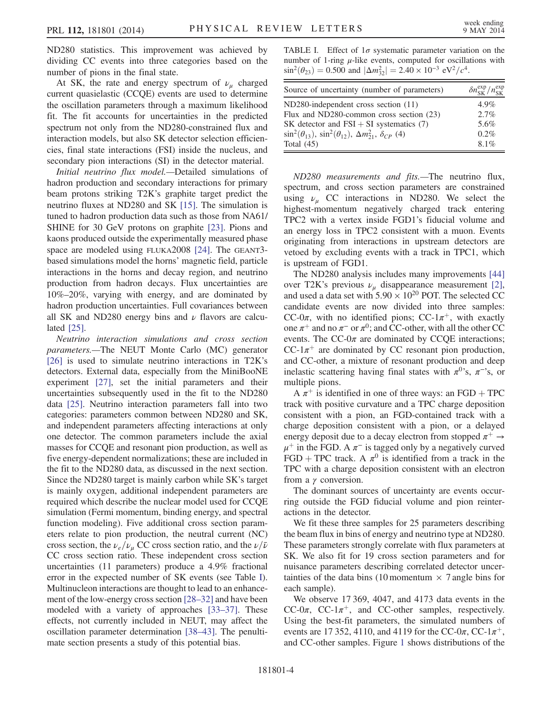ND280 statistics. This improvement was achieved by dividing CC events into three categories based on the number of pions in the final state.

At SK, the rate and energy spectrum of  $\nu_{\mu}$  charged current quasielastic (CCQE) events are used to determine the oscillation parameters through a maximum likelihood fit. The fit accounts for uncertainties in the predicted spectrum not only from the ND280-constrained flux and interaction models, but also SK detector selection efficiencies, final state interactions (FSI) inside the nucleus, and secondary pion interactions (SI) in the detector material.

Initial neutrino flux model.—Detailed simulations of hadron production and secondary interactions for primary beam protons striking T2K's graphite target predict the neutrino fluxes at ND280 and SK [\[15\].](#page-6-11) The simulation is tuned to hadron production data such as those from NA61/ SHINE for 30 GeV protons on graphite [\[23\].](#page-6-19) Pions and kaons produced outside the experimentally measured phase space are modeled using FLUKA2008 [\[24\]](#page-6-20). The GEANT3 based simulations model the horns' magnetic field, particle interactions in the horns and decay region, and neutrino production from hadron decays. Flux uncertainties are 10%–20%, varying with energy, and are dominated by hadron production uncertainties. Full covariances between all SK and ND280 energy bins and  $\nu$  flavors are calculated [\[25\]](#page-6-21).

Neutrino interaction simulations and cross section parameters.—The NEUT Monte Carlo (MC) generator [\[26\]](#page-6-22) is used to simulate neutrino interactions in T2K's detectors. External data, especially from the MiniBooNE experiment [\[27\]](#page-6-23), set the initial parameters and their uncertainties subsequently used in the fit to the ND280 data [\[25\].](#page-6-21) Neutrino interaction parameters fall into two categories: parameters common between ND280 and SK, and independent parameters affecting interactions at only one detector. The common parameters include the axial masses for CCQE and resonant pion production, as well as five energy-dependent normalizations; these are included in the fit to the ND280 data, as discussed in the next section. Since the ND280 target is mainly carbon while SK's target is mainly oxygen, additional independent parameters are required which describe the nuclear model used for CCQE simulation (Fermi momentum, binding energy, and spectral function modeling). Five additional cross section parameters relate to pion production, the neutral current (NC) cross section, the  $\nu_e/\nu_\mu$  CC cross section ratio, and the  $\nu/\bar{\nu}$ CC cross section ratio. These independent cross section uncertainties (11 parameters) produce a 4.9% fractional error in the expected number of SK events (see Table [I](#page-3-0)). Multinucleon interactions are thought to lead to an enhancement of the low-energy cross section [28–[32\]](#page-6-24) and have been modeled with a variety of approaches [33–[37\].](#page-6-25) These effects, not currently included in NEUT, may affect the oscillation parameter determination [\[38](#page-6-26)–43]. The penultimate section presents a study of this potential bias.

<span id="page-3-0"></span>TABLE I. Effect of  $1\sigma$  systematic parameter variation on the number of 1-ring  $\mu$ -like events, computed for oscillations with  $\sin^2(\theta_{23}) = 0.500$  and  $|\Delta m_{32}^2| = 2.40 \times 10^{-3} \text{ eV}^2/c^4$ .

| Source of uncertainty (number of parameters)                                 | $\delta n_{SK}^{\exp}/n_{SK}^{\exp}$ |
|------------------------------------------------------------------------------|--------------------------------------|
| ND280-independent cross section (11)                                         | $4.9\%$                              |
| Flux and ND280-common cross section (23)                                     | $2.7\%$                              |
| SK detector and $FSI + SI$ systematics (7)                                   | 5.6%                                 |
| $\sin^2(\theta_{13}), \sin^2(\theta_{12}), \Delta m_{21}^2, \delta_{CP}$ (4) | $0.2\%$                              |
| Total $(45)$                                                                 | $8.1\%$                              |

ND280 measurements and fits.—The neutrino flux, spectrum, and cross section parameters are constrained using  $\nu_{\mu}$  CC interactions in ND280. We select the highest-momentum negatively charged track entering TPC2 with a vertex inside FGD1's fiducial volume and an energy loss in TPC2 consistent with a muon. Events originating from interactions in upstream detectors are vetoed by excluding events with a track in TPC1, which is upstream of FGD1.

The ND280 analysis includes many improvements [\[44\]](#page-7-0) over T2K's previous  $\nu_{\mu}$  disappearance measurement [\[2\]](#page-6-8), and used a data set with  $5.90 \times 10^{20}$  POT. The selected CC candidate events are now divided into three samples: CC-0π, with no identified pions; CC-1 $\pi^{+}$ , with exactly one  $\pi^+$  and no  $\pi^-$  or  $\pi^0$ ; and CC-other, with all the other CC events. The  $CC-0\pi$  are dominated by CCQE interactions;  $CC-1\pi^+$  are dominated by CC resonant pion production, and CC-other, a mixture of resonant production and deep inelastic scattering having final states with  $\pi^{0,s}$ ,  $\pi^{-s}$ , or multiple pions.

A  $\pi^{+}$  is identified in one of three ways: an FGD + TPC track with positive curvature and a TPC charge deposition consistent with a pion, an FGD-contained track with a charge deposition consistent with a pion, or a delayed energy deposit due to a decay electron from stopped  $\pi^+ \rightarrow$  $\mu^+$  in the FGD. A  $\pi^-$  is tagged only by a negatively curved FGD + TPC track. A  $\pi^0$  is identified from a track in the TPC with a charge deposition consistent with an electron from a γ conversion.

The dominant sources of uncertainty are events occurring outside the FGD fiducial volume and pion reinteractions in the detector.

We fit these three samples for 25 parameters describing the beam flux in bins of energy and neutrino type at ND280. These parameters strongly correlate with flux parameters at SK. We also fit for 19 cross section parameters and for nuisance parameters describing correlated detector uncertainties of the data bins (10 momentum  $\times$  7 angle bins for each sample).

We observe 17 369, 4047, and 4173 data events in the CC-0 $\pi$ , CC-1 $\pi$ <sup>+</sup>, and CC-other samples, respectively. Using the best-fit parameters, the simulated numbers of events are 17 352, 4110, and 4119 for the CC-0 $\pi$ , CC-1 $\pi^{+}$ , and CC-other samples. Figure [1](#page-4-0) shows distributions of the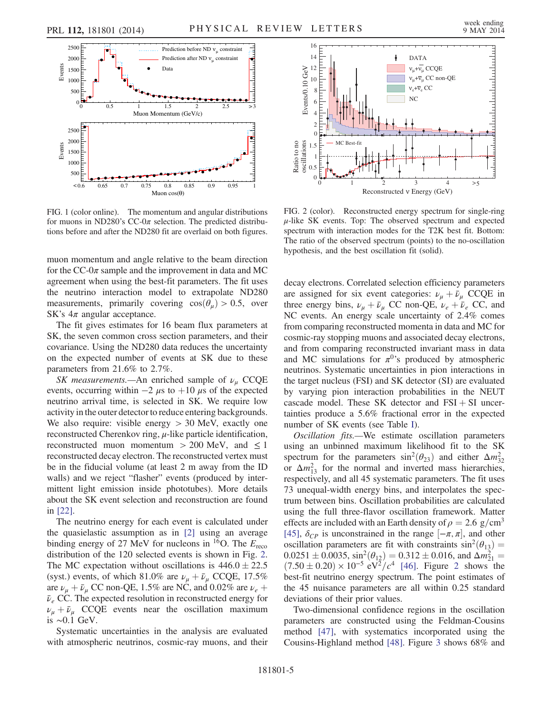<span id="page-4-0"></span>

FIG. 1 (color online). The momentum and angular distributions for muons in ND280's CC-0 $\pi$  selection. The predicted distributions before and after the ND280 fit are overlaid on both figures.

muon momentum and angle relative to the beam direction for the  $CC$ -0 $\pi$  sample and the improvement in data and MC agreement when using the best-fit parameters. The fit uses the neutrino interaction model to extrapolate ND280 measurements, primarily covering  $cos(\theta_u) > 0.5$ , over SK's  $4\pi$  angular acceptance.

The fit gives estimates for 16 beam flux parameters at SK, the seven common cross section parameters, and their covariance. Using the ND280 data reduces the uncertainty on the expected number of events at SK due to these parameters from 21.6% to 2.7%.

SK measurements.—An enriched sample of  $\nu_{\mu}$  CCQE events, occurring within  $-2 \mu s$  to  $+10 \mu s$  of the expected neutrino arrival time, is selected in SK. We require low activity in the outer detector to reduce entering backgrounds. We also require: visible energy  $> 30$  MeV, exactly one reconstructed Cherenkov ring,  $\mu$ -like particle identification, reconstructed muon momentum  $> 200$  MeV, and  $\leq 1$ reconstructed decay electron. The reconstructed vertex must be in the fiducial volume (at least 2 m away from the ID walls) and we reject "flasher" events (produced by intermittent light emission inside phototubes). More details about the SK event selection and reconstruction are found in [\[22\].](#page-6-18)

The neutrino energy for each event is calculated under the quasielastic assumption as in [\[2\]](#page-6-8) using an average binding energy of 27 MeV for nucleons in <sup>16</sup>O. The  $E_{\text{reco}}$ distribution of the 120 selected events is shown in Fig. [2](#page-4-1). The MC expectation without oscillations is  $446.0 \pm 22.5$ (syst.) events, of which 81.0% are  $\nu_{\mu} + \bar{\nu}_{\mu}$  CCQE, 17.5% are  $\nu_{\mu} + \bar{\nu}_{\mu}$  CC non-QE, 1.5% are NC, and 0.02% are  $\nu_{e}$  +  $\bar{\nu}_e$  CC. The expected resolution in reconstructed energy for  $\nu_{\mu} + \bar{\nu}_{\mu}$  CCQE events near the oscillation maximum is ∼0.1 GeV.

Systematic uncertainties in the analysis are evaluated with atmospheric neutrinos, cosmic-ray muons, and their

<span id="page-4-1"></span>

FIG. 2 (color). Reconstructed energy spectrum for single-ring  $\mu$ -like SK events. Top: The observed spectrum and expected spectrum with interaction modes for the T2K best fit. Bottom: The ratio of the observed spectrum (points) to the no-oscillation hypothesis, and the best oscillation fit (solid).

decay electrons. Correlated selection efficiency parameters are assigned for six event categories:  $\nu_{\mu} + \bar{\nu}_{\mu}$  CCQE in three energy bins,  $\nu_{\mu} + \bar{\nu}_{\mu}$  CC non-QE,  $\nu_{e} + \bar{\nu}_{e}$  CC, and NC events. An energy scale uncertainty of 2.4% comes from comparing reconstructed momenta in data and MC for cosmic-ray stopping muons and associated decay electrons, and from comparing reconstructed invariant mass in data and MC simulations for  $\pi^{0}$ 's produced by atmospheric neutrinos. Systematic uncertainties in pion interactions in the target nucleus (FSI) and SK detector (SI) are evaluated by varying pion interaction probabilities in the NEUT cascade model. These SK detector and  $FSI + SI$  uncertainties produce a 5.6% fractional error in the expected number of SK events (see Table [I\)](#page-3-0).

Oscillation fits.—We estimate oscillation parameters using an unbinned maximum likelihood fit to the SK spectrum for the parameters  $\sin^2(\theta_{23})$  and either  $\Delta m_{32}^2$ or  $\Delta m_{13}^2$  for the normal and inverted mass hierarchies, respectively, and all 45 systematic parameters. The fit uses 73 unequal-width energy bins, and interpolates the spectrum between bins. Oscillation probabilities are calculated using the full three-flavor oscillation framework. Matter effects are included with an Earth density of  $\rho = 2.6$  g/cm<sup>3</sup> [\[45\]](#page-7-1),  $\delta_{CP}$  is unconstrained in the range  $[-\pi, \pi]$ , and other oscillation parameters are fit with constraints  $sin^2(\theta_{13}) =$  $0.0251 \pm 0.0035$  $0.0251 \pm 0.0035$  $0.0251 \pm 0.0035$ ,  $\sin^2(\theta_{12}) = 0.312 \pm 0.016$ , and  $\Delta m_{21}^2 = (7.50 \pm 0.20) \times 10^{-5} \text{ eV}^2/\text{c}^4$  [\[46\].](#page-7-2) Figure 2 shows the best-fit neutrino energy spectrum. The point estimates of the 45 nuisance parameters are all within 0.25 standard deviations of their prior values.

Two-dimensional confidence regions in the oscillation parameters are constructed using the Feldman-Cousins method [\[47\]](#page-7-3), with systematics incorporated using the Cousins-Highland method [\[48\].](#page-7-4) Figure [3](#page-5-0) shows 68% and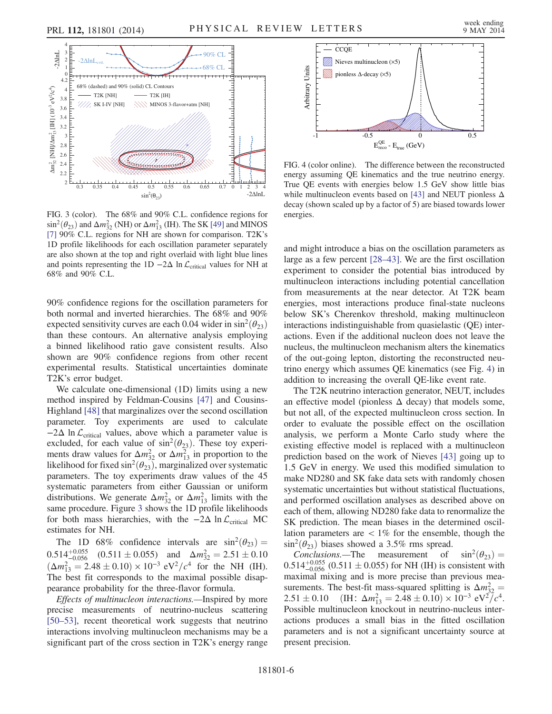<span id="page-5-0"></span>

FIG. 3 (color). The 68% and 90% C.L. confidence regions for  $\sin^2(\theta_{23})$  and  $\Delta m_{32}^2$  (NH) or  $\Delta m_{13}^2$  (IH). The SK [\[49\]](#page-7-7) and MINOS [\[7\]](#page-6-27) 90% C.L. regions for NH are shown for comparison. T2K's 1D profile likelihoods for each oscillation parameter separately are also shown at the top and right overlaid with light blue lines and points representing the 1D  $-2\Delta$  ln  $\mathcal{L}_{critical}$  values for NH at 68% and 90% C.L.

90% confidence regions for the oscillation parameters for both normal and inverted hierarchies. The 68% and 90% expected sensitivity curves are each 0.04 wider in  $\sin^2(\theta_{23})$ than these contours. An alternative analysis employing a binned likelihood ratio gave consistent results. Also shown are 90% confidence regions from other recent experimental results. Statistical uncertainties dominate T2K's error budget.

We calculate one-dimensional (1D) limits using a new method inspired by Feldman-Cousins [\[47\]](#page-7-3) and Cousins-Highland [\[48\]](#page-7-4) that marginalizes over the second oscillation parameter. Toy experiments are used to calculate  $-2\Delta$  ln  $\mathcal{L}_{critical}$  values, above which a parameter value is excluded, for each value of  $\sin^2(\theta_{23})$ . These toy experiments draw values for  $\Delta m_{32}^2$  or  $\Delta m_{13}^2$  in proportion to the likelihood for fixed sin<sup>2</sup> $(\theta_{23})$ , marginalized over systematic parameters. The toy experiments draw values of the 45 systematic parameters from either Gaussian or uniform distributions. We generate  $\Delta m_{32}^2$  or  $\Delta m_{13}^2$  limits with the same procedure. Figure [3](#page-5-0) shows the 1D profile likelihoods for both mass hierarchies, with the  $-2\Delta \ln \mathcal{L}_{critical}$  MC estimates for NH.

The 1D 68% confidence intervals are  $\sin^2(\theta_{23}) = 0.514^{+0.055}_{-0.056}$  (0.511 ± 0.055) and  $\Delta m_{32}^2 = 2.51 \pm 0.10$  $0.514^{+0.055}_{-0.056}$   $(0.511 \pm 0.055)$  and  $\Delta m_{32}^2 = 2.51 \pm 0.10$  $(\Delta m_{13}^2 = 2.48 \pm 0.10) \times 10^{-3} \text{ eV}^2/c^4$  for the NH (IH). The best fit corresponds to the maximal possible disappearance probability for the three-flavor formula.

Effects of multinucleon interactions.—Inspired by more precise measurements of neutrino-nucleus scattering [\[50](#page-7-5)–53], recent theoretical work suggests that neutrino interactions involving multinucleon mechanisms may be a significant part of the cross section in T2K's energy range

<span id="page-5-1"></span>

FIG. 4 (color online). The difference between the reconstructed energy assuming QE kinematics and the true neutrino energy. True QE events with energies below 1.5 GeV show little bias while multinucleon events based on [\[43\]](#page-7-6) and NEUT pionless  $\Delta$ decay (shown scaled up by a factor of 5) are biased towards lower energies.

and might introduce a bias on the oscillation parameters as large as a few percent [\[28](#page-6-24)–43]. We are the first oscillation experiment to consider the potential bias introduced by multinucleon interactions including potential cancellation from measurements at the near detector. At T2K beam energies, most interactions produce final-state nucleons below SK's Cherenkov threshold, making multinucleon interactions indistinguishable from quasielastic (QE) interactions. Even if the additional nucleon does not leave the nucleus, the multinucleon mechanism alters the kinematics of the out-going lepton, distorting the reconstructed neutrino energy which assumes QE kinematics (see Fig. [4](#page-5-1)) in addition to increasing the overall QE-like event rate.

The T2K neutrino interaction generator, NEUT, includes an effective model (pionless  $\Delta$  decay) that models some, but not all, of the expected multinucleon cross section. In order to evaluate the possible effect on the oscillation analysis, we perform a Monte Carlo study where the existing effective model is replaced with a multinucleon prediction based on the work of Nieves [\[43\]](#page-7-6) going up to 1.5 GeV in energy. We used this modified simulation to make ND280 and SK fake data sets with randomly chosen systematic uncertainties but without statistical fluctuations, and performed oscillation analyses as described above on each of them, allowing ND280 fake data to renormalize the SK prediction. The mean biases in the determined oscillation parameters are  $\langle 1\%$  for the ensemble, though the

 $\sin^2(\theta_{23})$  biases showed a 3.5% rms spread.<br>Conclusions.—The measurement of Conclusions.—The measurement of  $\sin^2(\theta_{23})$  =  $0.514^{+0.055}_{-0.056}$  (0.511  $\pm$  0.055) for NH (IH) is consistent with maximal mixing and is more precise than previous measurements. The best-fit mass-squared splitting is  $\Delta m_{32}^2 =$  $2.51 \pm 0.10$  (IH:  $\Delta m_{13}^2 = 2.48 \pm 0.10 \times 10^{-3} \text{ eV}^2/c^4$ . Possible multinucleon knockout in neutrino-nucleus interactions produces a small bias in the fitted oscillation parameters and is not a significant uncertainty source at present precision.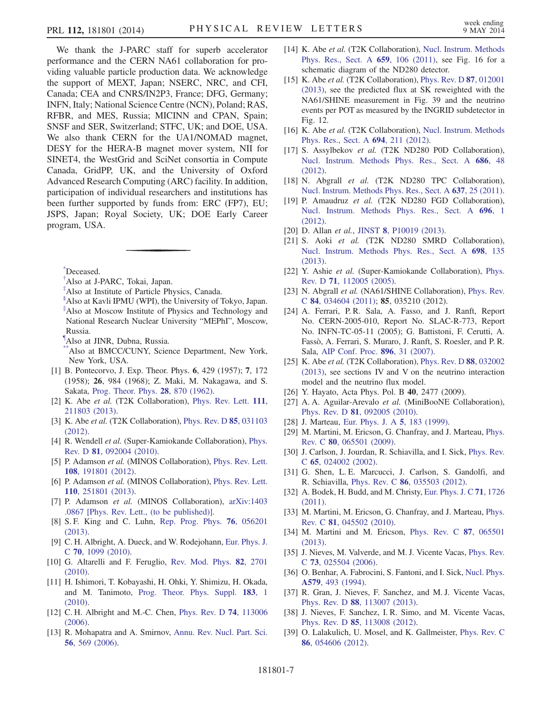We thank the J-PARC staff for superb accelerator performance and the CERN NA61 collaboration for providing valuable particle production data. We acknowledge the support of MEXT, Japan; NSERC, NRC, and CFI, Canada; CEA and CNRS/IN2P3, France; DFG, Germany; INFN, Italy; National Science Centre (NCN), Poland; RAS, RFBR, and MES, Russia; MICINN and CPAN, Spain; SNSF and SER, Switzerland; STFC, UK; and DOE, USA. We also thank CERN for the UA1/NOMAD magnet, DESY for the HERA-B magnet mover system, NII for SINET4, the WestGrid and SciNet consortia in Compute Canada, GridPP, UK, and the University of Oxford Advanced Research Computing (ARC) facility. In addition, participation of individual researchers and institutions has been further supported by funds from: ERC (FP7), EU; JSPS, Japan; Royal Society, UK; DOE Early Career program, USA.

<span id="page-6-5"></span><span id="page-6-1"></span><span id="page-6-0"></span>[\\*](#page-0-0) Deceased.

- <span id="page-6-2"></span>[†](#page-0-1) Also at J-PARC, Tokai, Japan.
- <span id="page-6-3"></span>[‡](#page-0-2) Also at Institute of Particle Physics, Canada.
- [§](#page-0-1) Also at Kavli IPMU (WPI), the University of Tokyo, Japan. [∥](#page-0-3) Also at Moscow Institute of Physics and Technology and National Research Nuclear University "MEPhI", Moscow, Russia.
- <span id="page-6-6"></span><span id="page-6-4"></span>[¶](#page-0-4) Also at JINR, Dubna, Russia.
- <span id="page-6-7"></span>\*Also at BMCC/CUNY, Science Department, New York, New York, USA.
- <span id="page-6-8"></span>[1] B. Pontecorvo, J. Exp. Theor. Phys. 6, 429 (1957); 7, 172 (1958); 26, 984 (1968); Z. Maki, M. Nakagawa, and S. Sakata, [Prog. Theor. Phys.](http://dx.doi.org/10.1143/PTP.28.870) 28, 870 (1962).
- [2] K. Abe et al. (T2K Collaboration), [Phys. Rev. Lett.](http://dx.doi.org/10.1103/PhysRevLett.111.211803) 111, [211803 \(2013\).](http://dx.doi.org/10.1103/PhysRevLett.111.211803)
- [3] K. Abe et al. (T2K Collaboration), [Phys. Rev. D](http://dx.doi.org/10.1103/PhysRevD.85.031103) 85, 031103 [\(2012\).](http://dx.doi.org/10.1103/PhysRevD.85.031103)
- [4] R. Wendell et al. (Super-Kamiokande Collaboration), [Phys.](http://dx.doi.org/10.1103/PhysRevD.81.092004) Rev. D 81[, 092004 \(2010\)](http://dx.doi.org/10.1103/PhysRevD.81.092004).
- [5] P. Adamson et al. (MINOS Collaboration), [Phys. Rev. Lett.](http://dx.doi.org/10.1103/PhysRevLett.108.191801) 108[, 191801 \(2012\).](http://dx.doi.org/10.1103/PhysRevLett.108.191801)
- <span id="page-6-27"></span>[6] P. Adamson et al. (MINOS Collaboration), [Phys. Rev. Lett.](http://dx.doi.org/10.1103/PhysRevLett.110.251801) 110[, 251801 \(2013\).](http://dx.doi.org/10.1103/PhysRevLett.110.251801)
- <span id="page-6-9"></span>[7] P. Adamson et al. (MINOS Collaboration), [arXiv:1403](http://arXiv.org/abs/1403.0867) [.0867 \[Phys. Rev. Lett., \(to be published\)\].](http://arXiv.org/abs/1403.0867)
- [8] S. F. King and C. Luhn, [Rep. Prog. Phys.](http://dx.doi.org/10.1088/0034-4885/76/5/056201) 76, 056201 [\(2013\).](http://dx.doi.org/10.1088/0034-4885/76/5/056201)
- [9] C. H. Albright, A. Dueck, and W. Rodejohann, [Eur. Phys. J.](http://dx.doi.org/10.1140/epjc/s10052-010-1492-2) <sup>C</sup> 70[, 1099 \(2010\)](http://dx.doi.org/10.1140/epjc/s10052-010-1492-2).
- [10] G. Altarelli and F. Feruglio, [Rev. Mod. Phys.](http://dx.doi.org/10.1103/RevModPhys.82.2701) 82, 2701 [\(2010\).](http://dx.doi.org/10.1103/RevModPhys.82.2701)
- [11] H. Ishimori, T. Kobayashi, H. Ohki, Y. Shimizu, H. Okada, and M. Tanimoto, [Prog. Theor. Phys. Suppl.](http://dx.doi.org/10.1143/PTPS.183.1) 183, 1 [\(2010\).](http://dx.doi.org/10.1143/PTPS.183.1)
- [12] C. H. Albright and M.-C. Chen, [Phys. Rev. D](http://dx.doi.org/10.1103/PhysRevD.74.113006) 74, 113006 [\(2006\).](http://dx.doi.org/10.1103/PhysRevD.74.113006)
- [13] R. Mohapatra and A. Smirnov, [Annu. Rev. Nucl. Part. Sci.](http://dx.doi.org/10.1146/annurev.nucl.56.080805.140534) 56[, 569 \(2006\).](http://dx.doi.org/10.1146/annurev.nucl.56.080805.140534)
- <span id="page-6-10"></span>[14] K. Abe et al. (T2K Collaboration), [Nucl. Instrum. Methods](http://dx.doi.org/10.1016/j.nima.2011.06.067) [Phys. Res., Sect. A](http://dx.doi.org/10.1016/j.nima.2011.06.067) 659, 106 (2011), see Fig. 16 for a schematic diagram of the ND280 detector.
- <span id="page-6-11"></span>[15] K. Abe et al. (T2K Collaboration), [Phys. Rev. D](http://dx.doi.org/10.1103/PhysRevD.87.012001) 87, 012001 [\(2013\),](http://dx.doi.org/10.1103/PhysRevD.87.012001) see the predicted flux at SK reweighted with the NA61/SHINE measurement in Fig. 39 and the neutrino events per POT as measured by the INGRID subdetector in Fig. 12.
- <span id="page-6-12"></span>[16] K. Abe et al. (T2K Collaboration), [Nucl. Instrum. Methods](http://dx.doi.org/10.1016/j.nima.2012.03.023) [Phys. Res., Sect. A](http://dx.doi.org/10.1016/j.nima.2012.03.023) 694, 211 (2012).
- <span id="page-6-13"></span>[17] S. Assylbekov et al. (T2K ND280 P0D Collaboration), [Nucl. Instrum. Methods Phys. Res., Sect. A](http://dx.doi.org/10.1016/j.nima.2012.05.028) 686, 48 [\(2012\).](http://dx.doi.org/10.1016/j.nima.2012.05.028)
- <span id="page-6-14"></span>[18] N. Abgrall et al. (T2K ND280 TPC Collaboration), [Nucl. Instrum. Methods Phys. Res., Sect. A](http://dx.doi.org/10.1016/j.nima.2011.02.036) 637, 25 (2011).
- <span id="page-6-15"></span>[19] P. Amaudruz et al. (T2K ND280 FGD Collaboration), [Nucl. Instrum. Methods Phys. Res., Sect. A](http://dx.doi.org/10.1016/j.nima.2012.08.020) 696, 1 [\(2012\).](http://dx.doi.org/10.1016/j.nima.2012.08.020)
- <span id="page-6-17"></span><span id="page-6-16"></span>[20] D. Allan et al., JINST 8[, P10019 \(2013\).](http://dx.doi.org/10.1088/1748-0221/8/10/P10019)
- [21] S. Aoki et al. (T2K ND280 SMRD Collaboration), [Nucl. Instrum. Methods Phys. Res., Sect. A](http://dx.doi.org/10.1016/j.nima.2012.10.001) 698, 135 [\(2013\).](http://dx.doi.org/10.1016/j.nima.2012.10.001)
- <span id="page-6-18"></span>[22] Y. Ashie et al. (Super-Kamiokande Collaboration), [Phys.](http://dx.doi.org/10.1103/PhysRevD.71.112005) Rev. D 71[, 112005 \(2005\)](http://dx.doi.org/10.1103/PhysRevD.71.112005).
- <span id="page-6-19"></span>[23] N. Abgrall et al. (NA61/SHINE Collaboration), [Phys. Rev.](http://dx.doi.org/10.1103/PhysRevC.84.034604) <sup>C</sup> 84[, 034604 \(2011\);](http://dx.doi.org/10.1103/PhysRevC.84.034604) 85, 035210 (2012).
- <span id="page-6-20"></span>[24] A. Ferrari, P.R. Sala, A. Fasso, and J. Ranft, Report No. CERN-2005-010, Report No. SLAC-R-773, Report No. INFN-TC-05-11 (2005); G. Battistoni, F. Cerutti, A. Fassò, A. Ferrari, S. Muraro, J. Ranft, S. Roesler, and P. R. Sala, [AIP Conf. Proc.](http://dx.doi.org/10.1063/1.2720455) 896, 31 (2007).
- <span id="page-6-21"></span>[25] K. Abe *et al.* (T2K Collaboration), [Phys. Rev. D](http://dx.doi.org/10.1103/PhysRevD.88.032002) 88, 032002 [\(2013\),](http://dx.doi.org/10.1103/PhysRevD.88.032002) see sections IV and V on the neutrino interaction model and the neutrino flux model.
- <span id="page-6-23"></span><span id="page-6-22"></span>[26] Y. Hayato, Acta Phys. Pol. B 40, 2477 (2009).
- [27] A. A. Aguilar-Arevalo et al. (MiniBooNE Collaboration), Phys. Rev. D 81[, 092005 \(2010\)](http://dx.doi.org/10.1103/PhysRevD.81.092005).
- <span id="page-6-24"></span>[28] J. Marteau, [Eur. Phys. J. A](http://dx.doi.org/10.1007/s100500050274) 5, 183 (1999).
- [29] M. Martini, M. Ericson, G. Chanfray, and J. Marteau, [Phys.](http://dx.doi.org/10.1103/PhysRevC.80.065501) Rev. C 80[, 065501 \(2009\).](http://dx.doi.org/10.1103/PhysRevC.80.065501)
- [30] J. Carlson, J. Jourdan, R. Schiavilla, and I. Sick, *[Phys. Rev.](http://dx.doi.org/10.1103/PhysRevC.65.024002)* <sup>C</sup> 65[, 024002 \(2002\).](http://dx.doi.org/10.1103/PhysRevC.65.024002)
- [31] G. Shen, L. E. Marcucci, J. Carlson, S. Gandolfi, and R. Schiavilla, Phys. Rev. C 86[, 035503 \(2012\)](http://dx.doi.org/10.1103/PhysRevC.86.035503).
- <span id="page-6-25"></span>[32] A. Bodek, H. Budd, and M. Christy, [Eur. Phys. J. C](http://dx.doi.org/10.1140/epjc/s10052-011-1726-y) 71, 1726 [\(2011\).](http://dx.doi.org/10.1140/epjc/s10052-011-1726-y)
- [33] M. Martini, M. Ericson, G. Chanfray, and J. Marteau, [Phys.](http://dx.doi.org/10.1103/PhysRevC.81.045502) Rev. C 81[, 045502 \(2010\).](http://dx.doi.org/10.1103/PhysRevC.81.045502)
- [34] M. Martini and M. Ericson, [Phys. Rev. C](http://dx.doi.org/10.1103/PhysRevC.87.065501) 87, 065501 [\(2013\).](http://dx.doi.org/10.1103/PhysRevC.87.065501)
- [35] J. Nieves, M. Valverde, and M. J. Vicente Vacas, [Phys. Rev.](http://dx.doi.org/10.1103/PhysRevC.73.025504) <sup>C</sup> 73[, 025504 \(2006\).](http://dx.doi.org/10.1103/PhysRevC.73.025504)
- [36] O. Benhar, A. Fabrocini, S. Fantoni, and I. Sick, [Nucl. Phys.](http://dx.doi.org/10.1016/0375-9474(94)90920-2) A579[, 493 \(1994\)](http://dx.doi.org/10.1016/0375-9474(94)90920-2).
- <span id="page-6-26"></span>[37] R. Gran, J. Nieves, F. Sanchez, and M. J. Vicente Vacas, Phys. Rev. D 88[, 113007 \(2013\)](http://dx.doi.org/10.1103/PhysRevD.88.113007).
- [38] J. Nieves, F. Sanchez, I. R. Simo, and M. Vicente Vacas, Phys. Rev. D 85[, 113008 \(2012\)](http://dx.doi.org/10.1103/PhysRevD.85.113008).
- [39] O. Lalakulich, U. Mosel, and K. Gallmeister, [Phys. Rev. C](http://dx.doi.org/10.1103/PhysRevC.86.054606) 86[, 054606 \(2012\).](http://dx.doi.org/10.1103/PhysRevC.86.054606)